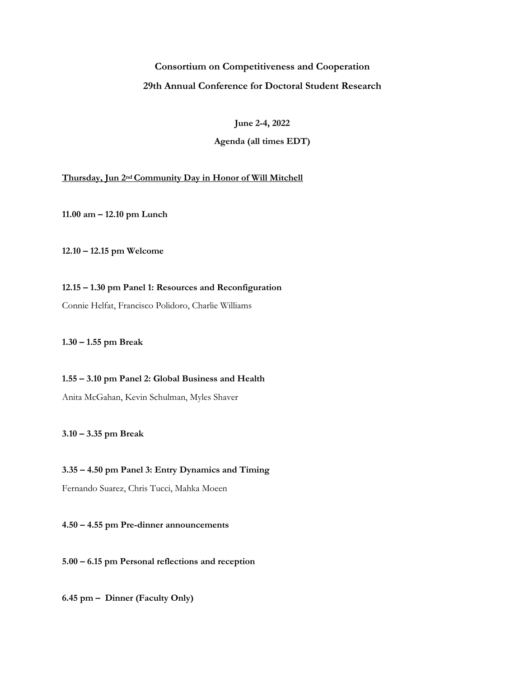# **Consortium on Competitiveness and Cooperation**

## **29th Annual Conference for Doctoral Student Research**

**June 2-4, 2022**

# **Agenda (all times EDT)**

## **Thursday, Jun 2ndCommunity Day in Honor of Will Mitchell**

**11.00 am – 12.10 pm Lunch**

**12.10 – 12.15 pm Welcome**

**12.15 – 1.30 pm Panel 1: Resources and Reconfiguration** Connie Helfat, Francisco Polidoro, Charlie Williams

**1.30 – 1.55 pm Break**

**1.55 – 3.10 pm Panel 2: Global Business and Health** Anita McGahan, Kevin Schulman, Myles Shaver

**3.10 – 3.35 pm Break**

**3.35 – 4.50 pm Panel 3: Entry Dynamics and Timing** Fernando Suarez, Chris Tucci, Mahka Moeen

**4.50 – 4.55 pm Pre-dinner announcements**

**5.00 – 6.15 pm Personal reflections and reception**

**6.45 pm – Dinner (Faculty Only)**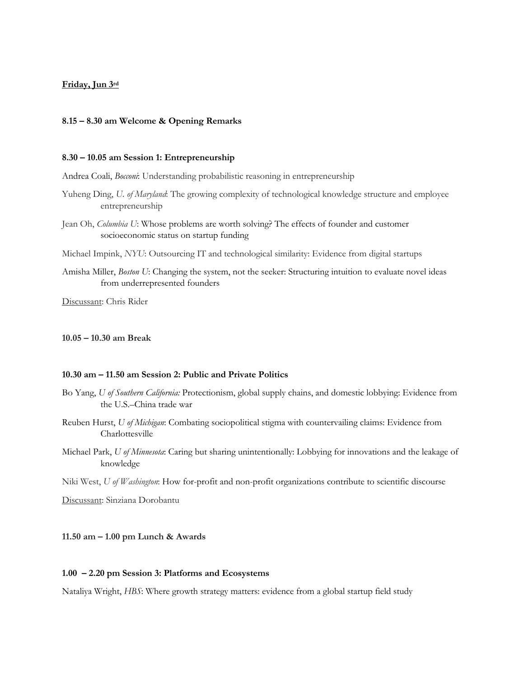# **Friday, Jun 3rd**

#### **8.15 – 8.30 am Welcome & Opening Remarks**

#### **8.30 – 10.05 am Session 1: Entrepreneurship**

Andrea Coali, *Bocconi*: Understanding probabilistic reasoning in entrepreneurship

- Yuheng Ding, *U. of Maryland*: The growing complexity of technological knowledge structure and employee entrepreneurship
- Jean Oh, *Columbia U*: Whose problems are worth solving? The effects of founder and customer socioeconomic status on startup funding
- Michael Impink, *NYU*: Outsourcing IT and technological similarity: Evidence from digital startups
- Amisha Miller, *Boston U*: Changing the system, not the seeker: Structuring intuition to evaluate novel ideas from underrepresented founders

Discussant: Chris Rider

### **10.05 – 10.30 am Break**

#### **10.30 am – 11.50 am Session 2: Public and Private Politics**

- Bo Yang, *U of Southern California:* Protectionism, global supply chains, and domestic lobbying: Evidence from the U.S.–China trade war
- Reuben Hurst, *U of Michigan*: Combating sociopolitical stigma with countervailing claims: Evidence from Charlottesville
- Michael Park, *U of Minnesota*: Caring but sharing unintentionally: Lobbying for innovations and the leakage of knowledge

Niki West, *U of Washington*: How for-profit and non-profit organizations contribute to scientific discourse

Discussant: Sinziana Dorobantu

## **11.50 am – 1.00 pm Lunch & Awards**

### **1.00 – 2.20 pm Session 3: Platforms and Ecosystems**

Nataliya Wright, *HBS*: Where growth strategy matters: evidence from a global startup field study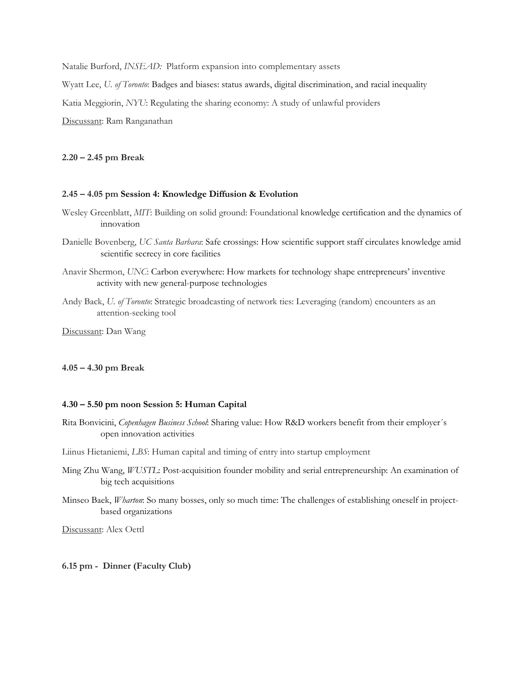Natalie Burford, *INSEAD:* Platform expansion into complementary assets

Wyatt Lee, *U. of Toronto*: Badges and biases: status awards, digital discrimination, and racial inequality

Katia Meggiorin, *NYU*: Regulating the sharing economy: A study of unlawful providers

Discussant: Ram Ranganathan

#### **2.20 – 2.45 pm Break**

### **2.45 – 4.05 pm Session 4: Knowledge Diffusion & Evolution**

- Wesley Greenblatt, *MIT*: Building on solid ground: Foundational knowledge certification and the dynamics of innovation
- Danielle Bovenberg, *UC Santa Barbara*: Safe crossings: How scientific support staff circulates knowledge amid scientific secrecy in core facilities
- Anavir Shermon, *UNC*: Carbon everywhere: How markets for technology shape entrepreneurs' inventive activity with new general-purpose technologies
- Andy Back, *U. of Toronto*: Strategic broadcasting of network ties: Leveraging (random) encounters as an attention-seeking tool

Discussant: Dan Wang

#### **4.05 – 4.30 pm Break**

## **4.30 – 5.50 pm noon Session 5: Human Capital**

- Rita Bonvicini, *Copenhagen Business School*: Sharing value: How R&D workers benefit from their employer´s open innovation activities
- Liinus Hietaniemi, *LBS*: Human capital and timing of entry into startup employment
- Ming Zhu Wang, *WUSTL*: Post-acquisition founder mobility and serial entrepreneurship: An examination of big tech acquisitions
- Minseo Baek, *Wharton*: So many bosses, only so much time: The challenges of establishing oneself in projectbased organizations

Discussant: Alex Oettl

#### **6.15 pm - Dinner (Faculty Club)**